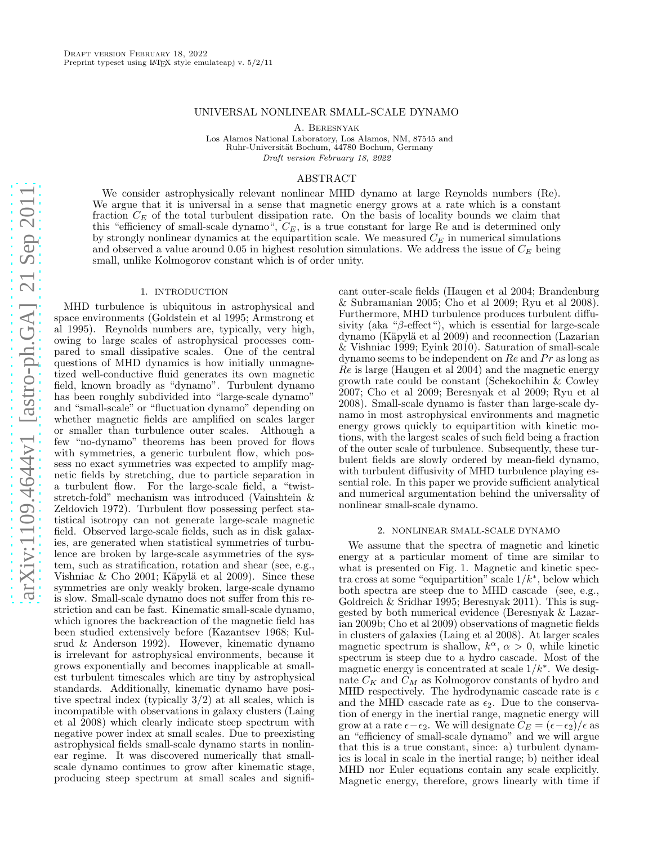# UNIVERSAL NONLINEAR SMALL-SCALE DYNAMO

A. Beresnyak

Los Alamos National Laboratory, Los Alamos, NM, 87545 and Ruhr-Universität Bochum, 44780 Bochum, Germany Draft version February 18, 2022

#### ABSTRACT

We consider astrophysically relevant nonlinear MHD dynamo at large Reynolds numbers (Re). We argue that it is universal in a sense that magnetic energy grows at a rate which is a constant fraction  $C_E$  of the total turbulent dissipation rate. On the basis of locality bounds we claim that this "efficiency of small-scale dynamo",  $C_E$ , is a true constant for large Re and is determined only by strongly nonlinear dynamics at the equipartition scale. We measured  $C_E$  in numerical simulations and observed a value around 0.05 in highest resolution simulations. We address the issue of  $C_E$  being small, unlike Kolmogorov constant which is of order unity.

# 1. INTRODUCTION

MHD turbulence is ubiquitous in astrophysical and space environments (Goldstein et al 1995; Armstrong et al 1995). Reynolds numbers are, typically, very high, owing to large scales of astrophysical processes compared to small dissipative scales. One of the central questions of MHD dynamics is how initially unmagnetized well-conductive fluid generates its own magnetic field, known broadly as "dynamo". Turbulent dynamo has been roughly subdivided into "large-scale dynamo" and "small-scale" or "fluctuation dynamo" depending on whether magnetic fields are amplified on scales larger or smaller than turbulence outer scales. Although a few "no-dynamo" theorems has been proved for flows with symmetries, a generic turbulent flow, which possess no exact symmetries was expected to amplify magnetic fields by stretching, due to particle separation in a turbulent flow. For the large-scale field, a "twiststretch-fold" mechanism was introduced (Vainshtein & Zeldovich 1972). Turbulent flow possessing perfect statistical isotropy can not generate large-scale magnetic field. Observed large-scale fields, such as in disk galaxies, are generated when statistical symmetries of turbulence are broken by large-scale asymmetries of the system, such as stratification, rotation and shear (see, e.g., Vishniac & Cho 2001; Käpylä et al 2009). Since these symmetries are only weakly broken, large-scale dynamo is slow. Small-scale dynamo does not suffer from this restriction and can be fast. Kinematic small-scale dynamo, which ignores the backreaction of the magnetic field has been studied extensively before (Kazantsev 1968; Kulsrud & Anderson 1992). However, kinematic dynamo is irrelevant for astrophysical environments, because it grows exponentially and becomes inapplicable at smallest turbulent timescales which are tiny by astrophysical standards. Additionally, kinematic dynamo have positive spectral index (typically 3/2) at all scales, which is incompatible with observations in galaxy clusters (Laing et al 2008) which clearly indicate steep spectrum with negative power index at small scales. Due to preexisting astrophysical fields small-scale dynamo starts in nonlinear regime. It was discovered numerically that smallscale dynamo continues to grow after kinematic stage, producing steep spectrum at small scales and significant outer-scale fields (Haugen et al 2004; Brandenburg & Subramanian 2005; Cho et al 2009; Ryu et al 2008). Furthermore, MHD turbulence produces turbulent diffusivity (aka " $\beta$ -effect"), which is essential for large-scale dynamo (Käpylä et al 2009) and reconnection (Lazarian & Vishniac 1999; Eyink 2010). Saturation of small-scale dynamo seems to be independent on  $Re$  and  $Pr$  as long as Re is large (Haugen et al 2004) and the magnetic energy growth rate could be constant (Schekochihin & Cowley 2007; Cho et al 2009; Beresnyak et al 2009; Ryu et al 2008). Small-scale dynamo is faster than large-scale dynamo in most astrophysical environments and magnetic energy grows quickly to equipartition with kinetic motions, with the largest scales of such field being a fraction of the outer scale of turbulence. Subsequently, these turbulent fields are slowly ordered by mean-field dynamo, with turbulent diffusivity of MHD turbulence playing essential role. In this paper we provide sufficient analytical and numerical argumentation behind the universality of nonlinear small-scale dynamo.

#### 2. NONLINEAR SMALL-SCALE DYNAMO

We assume that the spectra of magnetic and kinetic energy at a particular moment of time are similar to what is presented on Fig. 1. Magnetic and kinetic spectra cross at some "equipartition" scale  $1/k^*$ , below which both spectra are steep due to MHD cascade (see, e.g., Goldreich & Sridhar 1995; Beresnyak 2011). This is suggested by both numerical evidence (Beresnyak & Lazarian 2009b; Cho et al 2009) observations of magnetic fields in clusters of galaxies (Laing et al 2008). At larger scales magnetic spectrum is shallow,  $k^{\alpha}$ ,  $\alpha > 0$ , while kinetic spectrum is steep due to a hydro cascade. Most of the magnetic energy is concentrated at scale  $1/k^*$ . We designate  $C_K$  and  $\tilde{C}_M$  as Kolmogorov constants of hydro and MHD respectively. The hydrodynamic cascade rate is  $\epsilon$ and the MHD cascade rate as  $\epsilon_2$ . Due to the conservation of energy in the inertial range, magnetic energy will grow at a rate  $\epsilon - \epsilon_2$ . We will designate  $\widetilde{C}_E = (\epsilon - \epsilon_2)/\epsilon$  as an "efficiency of small-scale dynamo" and we will argue that this is a true constant, since: a) turbulent dynamics is local in scale in the inertial range; b) neither ideal MHD nor Euler equations contain any scale explicitly. Magnetic energy, therefore, grows linearly with time if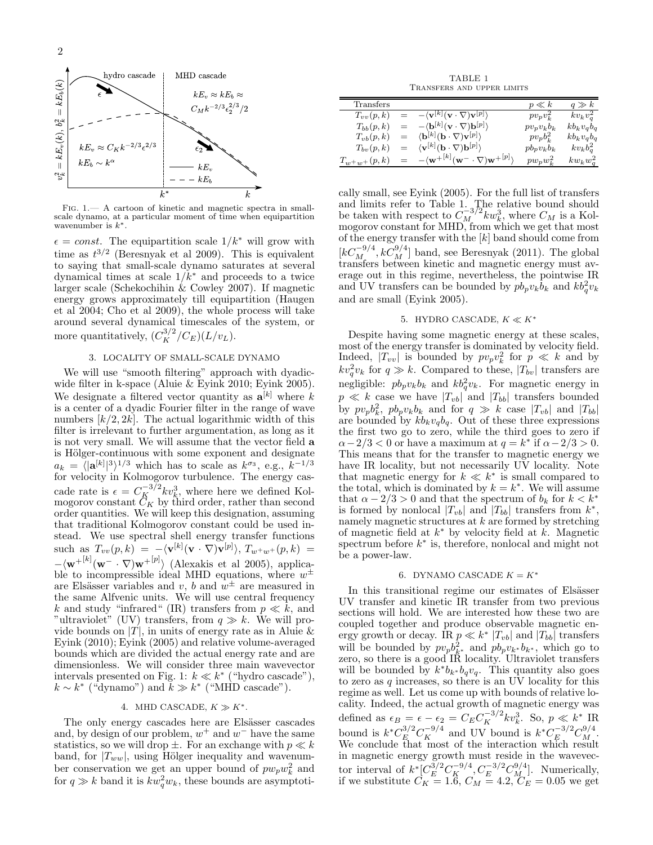

Fig. 1.— A cartoon of kinetic and magnetic spectra in smallscale dynamo, at a particular moment of time when equipartition wavenumber is  $k^*$ .

 $\epsilon = const.$  The equipartition scale  $1/k^*$  will grow with time as  $t^{3/2}$  (Beresnyak et al 2009). This is equivalent to saying that small-scale dynamo saturates at several dynamical times at scale  $1/k^*$  and proceeds to a twice larger scale (Schekochihin & Cowley 2007). If magnetic energy grows approximately till equipartition (Haugen et al 2004; Cho et al 2009), the whole process will take around several dynamical timescales of the system, or more quantitatively,  $(C_K^{3/2}/C_E)(L/v_L)$ .

# 3. LOCALITY OF SMALL-SCALE DYNAMO

We will use "smooth filtering" approach with dyadicwide filter in k-space (Aluie & Eyink 2010; Eyink 2005). We designate a filtered vector quantity as  $\mathbf{a}^{[k]}$  where k is a center of a dyadic Fourier filter in the range of wave numbers  $[k/2, 2k]$ . The actual logarithmic width of this filter is irrelevant to further argumentation, as long as it is not very small. We will assume that the vector field a is Hölger-continuous with some exponent and designate  $a_k = \langle |\mathbf{a}^{[k]}|^3 \rangle^{1/3}$  which has to scale as  $k^{\sigma_3}$ , e.g.,  $k^{-1/3}$ for velocity in Kolmogorov turbulence. The energy cascade rate is  $\epsilon = C_K^{-3/2} k v_k^3$ , where here we defined Kolmogorov constant  $C_K$  by third order, rather than second order quantities. We will keep this designation, assuming that traditional Kolmogorov constant could be used instead. We use spectral shell energy transfer functions such as  $T_{vv}(p,k) = -\langle \mathbf{v}^{[k]}(\mathbf{v} \cdot \nabla) \mathbf{v}^{[p]} \rangle, T_{w^+w^+}(p,k) =$  $-\langle \mathbf{w}^{+[k]}(\mathbf{w}^- \cdot \nabla) \mathbf{w}^{+[p]} \rangle$  (Alexakis et al 2005), applicable to incompressible ideal MHD equations, where  $w^{\pm}$ are Elsässer variables and v, b and  $w^{\pm}$  are measured in the same Alfvenic units. We will use central frequency k and study "infrared" (IR) transfers from  $p \ll \tilde{k}$ , and "ultraviolet" (UV) transfers, from  $q \gg k$ . We will provide bounds on  $|T|$ , in units of energy rate as in Aluie & Eyink (2010); Eyink (2005) and relative volume-averaged bounds which are divided the actual energy rate and are dimensionless. We will consider three main wavevector intervals presented on Fig. 1:  $k \ll k^*$  ("hydro cascade"),  $k \sim k^*$  ("dynamo") and  $k \gg k^*$  ("MHD cascade").

#### 4. MHD CASCADE,  $K \gg K^*$ .

The only energy cascades here are Elsässer cascades and, by design of our problem,  $w^+$  and  $w^-$  have the same statistics, so we will drop  $\pm$ . For an exchange with  $p \ll k$ band, for  $|T_{ww}|$ , using Hölger inequality and wavenumber conservation we get an upper bound of  $pw_pw_k^2$  and for  $q \gg k$  band it is  $kw_q^2w_k$ , these bounds are asymptoti-

TABLE 1 Transfers and upper limits

| Transfers         |     |                                                                                   | $p \ll k$      | $q \gg k$    |
|-------------------|-----|-----------------------------------------------------------------------------------|----------------|--------------|
| $T_{vv}(p,k)$     | $=$ | $-\langle \mathbf{v}^{[k]}(\mathbf{v}\cdot\nabla)\mathbf{v}^{[p]}\rangle$         | $pv_p v_k^2$   | $kv_kv_q^2$  |
| $T_{bb}(p,k)$     | $=$ | $-\langle \mathbf{b}^{[k]}(\mathbf{v}\cdot\nabla)\mathbf{b}^{[p]}\rangle$         | $pv_p v_k b_k$ | $kb_kv_qb_q$ |
| $T_{vb}(p,k)$     | $=$ | $\langle \mathbf{b}^{[k]}(\mathbf{b}\cdot\nabla)\mathbf{v}^{[p]} \rangle$         | $pv_p b_k^2$   | $kb_kv_qb_q$ |
| $T_{bv}(p,k)$     | $=$ | $\langle \mathbf{v}^{[k]} (\mathbf{b} \cdot \nabla) \mathbf{b}^{[p]} \rangle$     | $pb_p v_k b_k$ | $kv_kb_q^2$  |
| $T_{w^+w^+}(p,k)$ | $=$ | $-\langle \mathbf{w}^{+[k]}(\mathbf{w}^- \cdot \nabla) \mathbf{w}^{+[p]} \rangle$ | $pw_pw_k^2$    | $kw_kw_q^2$  |

cally small, see Eyink (2005). For the full list of transfers and limits refer to Table 1. The relative bound should be taken with respect to  $C_M^{-3/2} k w_k^3$ , where  $C_M$  is a Kolmogorov constant for MHD, from which we get that most of the energy transfer with the  $[k]$  band should come from  $[kC_{M_2}^{-9/4}, kC_{M}^{9/4}]$  band, see Beresnyak (2011). The global transfers between kinetic and magnetic energy must average out in this regime, nevertheless, the pointwise IR and UV transfers can be bounded by  $p b_p v_k b_k$  and  $k b_q^2 v_k$ and are small (Eyink 2005).

#### 5. HYDRO CASCADE,  $K \ll K^*$

Despite having some magnetic energy at these scales, most of the energy transfer is dominated by velocity field. Indeed,  $|T_{vv}|$  is bounded by  $pv_pv_k^2$  for  $p \ll k$  and by  $kv_q^2v_k$  for  $q \gg k$ . Compared to these,  $|T_{bv}|$  transfers are negligible:  $pb_p v_k b_k$  and  $kb_q^2 v_k$ . For magnetic energy in  $p \ll k$  case we have  $|T_{vb}|$  and  $|T_{bb}|$  transfers bounded by  $pv_p b_k^2$ ,  $pb_p v_k b_k$  and for  $q \gg k$  case  $|T_{vb}|$  and  $|T_{bb}|$ are bounded by  $kb_kv_qb_q$ . Out of these three expressions the first two go to zero, while the third goes to zero if  $\alpha - 2/3 < 0$  or have a maximum at  $q = k^*$  if  $\alpha - 2/3 > 0$ . This means that for the transfer to magnetic energy we have IR locality, but not necessarily UV locality. Note that magnetic energy for  $k \ll k^*$  is small compared to the total, which is dominated by  $k = k^*$ . We will assume that  $\alpha - 2/3 > 0$  and that the spectrum of  $b_k$  for  $k < k^*$ is formed by nonlocal  $|T_{vb}|$  and  $|T_{bb}|$  transfers from  $k^*$ , namely magnetic structures at  $k$  are formed by stretching of magnetic field at  $k^*$  by velocity field at  $k$ . Magnetic spectrum before  $k^*$  is, therefore, nonlocal and might not be a power-law.

# 6. DYNAMO CASCADE  $K = K^*$

In this transitional regime our estimates of Elsässer UV transfer and kinetic IR transfer from two previous sections will hold. We are interested how these two are coupled together and produce observable magnetic energy growth or decay. IR  $p \ll k^* |T_{vb}|$  and  $|T_{bb}|$  transfers will be bounded by  $p v_p b_{k^*}^2$  and  $p b_p v_{k^*} b_{k^*}$ , which go to zero, so there is a good IR locality. Ultraviolet transfers will be bounded by  $k^*b_{k^*}b_qv_q$ . This quantity also goes to zero as  $q$  increases, so there is an UV locality for this regime as well. Let us come up with bounds of relative locality. Indeed, the actual growth of magnetic energy was defined as  $\epsilon_B = \epsilon - \epsilon_2 = C_E C_K^{-3/2} k v_k^3$ . So,  $p \ll k^*$  IR bound is  $k^* C_E^{3/2} C_K^{-9/4}$  and UV bound is  $k^* C_E^{-3/2} C_M^{9/4}$ . We conclude that most of the interaction which result in magnetic energy growth must reside in the wavevector interval of  $k^*[C_E^{3/2}C_E^{-9/4}, C_E^{-3/2}C_M^{9/4}]$ . Numerically, if we substitute  $C_K = 1.6, C_M = 4.2, C_E = 0.05$  we get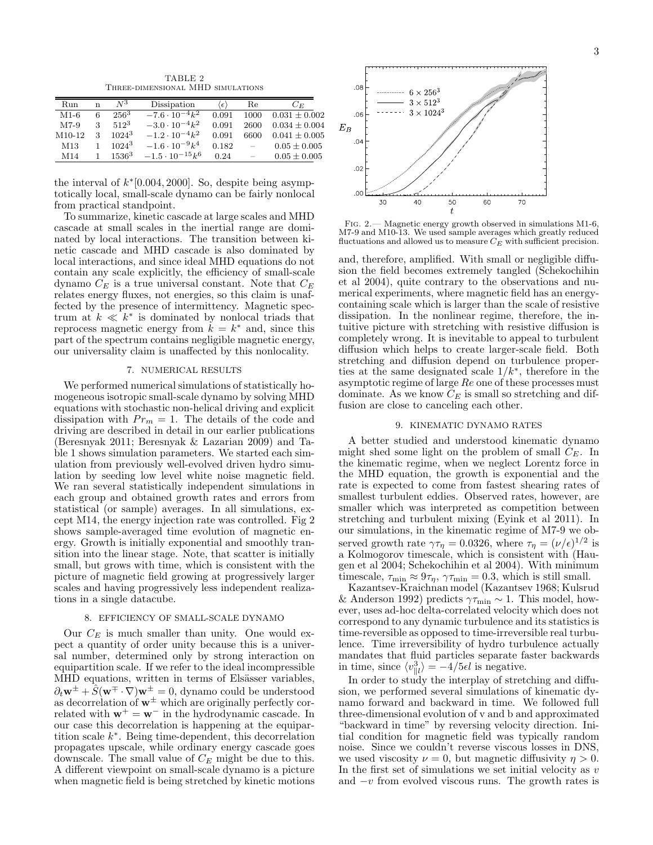TABLE 2 Three-dimensional MHD simulations

| Run             | n  | $N^3$    | Dissipation              | $\langle \epsilon \rangle$ | Re            | $C_{E}$           |
|-----------------|----|----------|--------------------------|----------------------------|---------------|-------------------|
| M1-6            | 6  | $256^3$  | $-7.6 \cdot 10^{-4} k^2$ | 0.091                      | 1000          | $0.031 \pm 0.002$ |
| $M7-9$          | 3  | $512^3$  | $-3.0 \cdot 10^{-4}k^2$  | 0.091                      | 2600          | $0.034 \pm 0.004$ |
| $M10-12$        | 3  | $1024^3$ | $-1.2 \cdot 10^{-4}k^2$  | 0.091                      | 6600          | $0.041 \pm 0.005$ |
| M <sub>13</sub> | 1. | $1024^3$ | $-1.6 \cdot 10^{-9}k^4$  | 0.182                      | $\frac{1}{2}$ | $0.05 \pm 0.005$  |
| M <sub>14</sub> |    | $1536^3$ | $-1.5 \cdot 10^{-15}k^6$ | 0.24                       | $\equiv$      | $0.05 \pm 0.005$  |

the interval of  $k*[0.004, 2000]$ . So, despite being asymptotically local, small-scale dynamo can be fairly nonlocal from practical standpoint.

To summarize, kinetic cascade at large scales and MHD cascade at small scales in the inertial range are dominated by local interactions. The transition between kinetic cascade and MHD cascade is also dominated by local interactions, and since ideal MHD equations do not contain any scale explicitly, the efficiency of small-scale dynamo  $C_E$  is a true universal constant. Note that  $C_E$ relates energy fluxes, not energies, so this claim is unaffected by the presence of intermittency. Magnetic spectrum at  $k \ll k^*$  is dominated by nonlocal triads that reprocess magnetic energy from  $\dot{k} = k^*$  and, since this part of the spectrum contains negligible magnetic energy, our universality claim is unaffected by this nonlocality.

# 7. NUMERICAL RESULTS

We performed numerical simulations of statistically homogeneous isotropic small-scale dynamo by solving MHD equations with stochastic non-helical driving and explicit dissipation with  $Pr_m = 1$ . The details of the code and driving are described in detail in our earlier publications (Beresnyak 2011; Beresnyak & Lazarian 2009) and Table 1 shows simulation parameters. We started each simulation from previously well-evolved driven hydro simulation by seeding low level white noise magnetic field. We ran several statistically independent simulations in each group and obtained growth rates and errors from statistical (or sample) averages. In all simulations, except M14, the energy injection rate was controlled. Fig 2 shows sample-averaged time evolution of magnetic energy. Growth is initially exponential and smoothly transition into the linear stage. Note, that scatter is initially small, but grows with time, which is consistent with the picture of magnetic field growing at progressively larger scales and having progressively less independent realizations in a single datacube.

# 8. EFFICIENCY OF SMALL-SCALE DYNAMO

Our  $C_E$  is much smaller than unity. One would expect a quantity of order unity because this is a universal number, determined only by strong interaction on equipartition scale. If we refer to the ideal incompressible MHD equations, written in terms of Elsässer variables,  $\partial_t \mathbf{w}^{\pm} + \hat{S}(\mathbf{w}^{\mp} \cdot \nabla) \mathbf{w}^{\pm} = 0$ , dynamo could be understood as decorrelation of  $w^{\pm}$  which are originally perfectly correlated with  $\mathbf{w}^+ = \mathbf{w}^-$  in the hydrodynamic cascade. In our case this decorrelation is happening at the equipartition scale k ∗ . Being time-dependent, this decorrelation propagates upscale, while ordinary energy cascade goes downscale. The small value of  $C_E$  might be due to this. A different viewpoint on small-scale dynamo is a picture when magnetic field is being stretched by kinetic motions



Fig. 2.— Magnetic energy growth observed in simulations M1-6, M7-9 and M10-13. We used sample averages which greatly reduced fluctuations and allowed us to measure  $C_E$  with sufficient precision.

and, therefore, amplified. With small or negligible diffusion the field becomes extremely tangled (Schekochihin et al 2004), quite contrary to the observations and numerical experiments, where magnetic field has an energycontaining scale which is larger than the scale of resistive dissipation. In the nonlinear regime, therefore, the intuitive picture with stretching with resistive diffusion is completely wrong. It is inevitable to appeal to turbulent diffusion which helps to create larger-scale field. Both stretching and diffusion depend on turbulence properties at the same designated scale  $1/k^*$ , therefore in the asymptotic regime of large Re one of these processes must dominate. As we know  $C_E$  is small so stretching and diffusion are close to canceling each other.

#### 9. KINEMATIC DYNAMO RATES

A better studied and understood kinematic dynamo might shed some light on the problem of small  $C_E$ . In the kinematic regime, when we neglect Lorentz force in the MHD equation, the growth is exponential and the rate is expected to come from fastest shearing rates of smallest turbulent eddies. Observed rates, however, are smaller which was interpreted as competition between stretching and turbulent mixing (Eyink et al 2011). In our simulations, in the kinematic regime of M7-9 we observed growth rate  $\gamma \tau_{\eta} = 0.0326$ , where  $\tau_{\eta} = (\nu/\epsilon)^{1/2}$  is a Kolmogorov timescale, which is consistent with (Haugen et al 2004; Schekochihin et al 2004). With minimum timescale,  $\tau_{\min} \approx 9\tau_{\eta}$ ,  $\gamma \tau_{\min} = 0.3$ , which is still small.

Kazantsev-Kraichnan model (Kazantsev 1968; Kulsrud & Anderson 1992) predicts  $\gamma \tau_{\rm min} \sim 1$ . This model, however, uses ad-hoc delta-correlated velocity which does not correspond to any dynamic turbulence and its statistics is time-reversible as opposed to time-irreversible real turbulence. Time irreversibility of hydro turbulence actually mandates that fluid particles separate faster backwards in time, since  $\langle v_{\parallel l}^3 \rangle = -4/5 \epsilon l$  is negative.

In order to study the interplay of stretching and diffusion, we performed several simulations of kinematic dynamo forward and backward in time. We followed full three-dimensional evolution of v and b and approximated "backward in time" by reversing velocity direction. Initial condition for magnetic field was typically random noise. Since we couldn't reverse viscous losses in DNS, we used viscosity  $\nu = 0$ , but magnetic diffusivity  $\eta > 0$ . In the first set of simulations we set initial velocity as  $v$ and  $-v$  from evolved viscous runs. The growth rates is